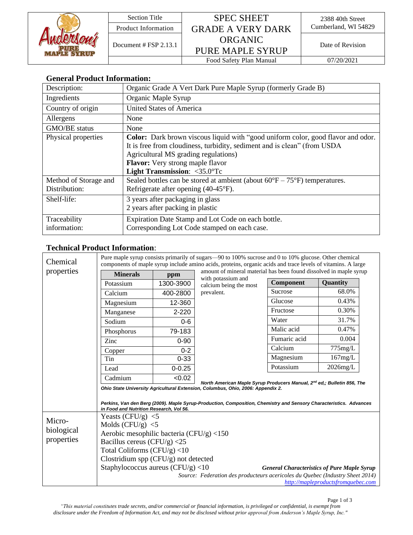|  | <b>Section Title</b>    | <b>SPEC SHEET</b>        | 2388 40th Street<br>Cumberland, WI 54829 |  |
|--|-------------------------|--------------------------|------------------------------------------|--|
|  | Product Information     | <b>GRADE A VERY DARK</b> |                                          |  |
|  | Document $# FSP 2.13.1$ | ORGANIC                  | Date of Revision                         |  |
|  |                         | <b>PURE MAPLE SYRUP</b>  |                                          |  |
|  |                         | Food Safety Plan Manual  | 07/20/2021                               |  |

## **General Product Information:**

| Description:          | Organic Grade A Vert Dark Pure Maple Syrup (formerly Grade B)                              |  |  |
|-----------------------|--------------------------------------------------------------------------------------------|--|--|
| Ingredients           | Organic Maple Syrup                                                                        |  |  |
| Country of origin     | <b>United States of America</b>                                                            |  |  |
| Allergens             | None                                                                                       |  |  |
| GMO/BE status         | None                                                                                       |  |  |
| Physical properties   | <b>Color:</b> Dark brown viscous liquid with "good uniform color, good flavor and odor.    |  |  |
|                       | It is free from cloudiness, turbidity, sediment and is clean" (from USDA                   |  |  |
|                       | Agricultural MS grading regulations)                                                       |  |  |
|                       | <b>Flavor:</b> Very strong maple flavor                                                    |  |  |
|                       | <b>Light Transmission:</b> $\langle 35.0^{\circ} \text{Tc} \rangle$                        |  |  |
| Method of Storage and | Sealed bottles can be stored at ambient (about $60^{\circ}F - 75^{\circ}F$ ) temperatures. |  |  |
| Distribution:         | Refrigerate after opening $(40-45)$ °F).                                                   |  |  |
| Shelf-life:           | 3 years after packaging in glass                                                           |  |  |
|                       | 2 years after packing in plastic                                                           |  |  |
| Traceability          | Expiration Date Stamp and Lot Code on each bottle.                                         |  |  |
| information:          | Corresponding Lot Code stamped on each case.                                               |  |  |

# **Technical Product Information**:

| Chemical<br>properties             | Pure maple syrup consists primarily of sugars—90 to 100% sucrose and 0 to 10% glucose. Other chemical<br>components of maple syrup include amino acids, proteins, organic acids and trace levels of vitamins. A large                                                                                                                   |            |                                                                               |                                                                    |                                    |  |
|------------------------------------|-----------------------------------------------------------------------------------------------------------------------------------------------------------------------------------------------------------------------------------------------------------------------------------------------------------------------------------------|------------|-------------------------------------------------------------------------------|--------------------------------------------------------------------|------------------------------------|--|
|                                    | <b>Minerals</b>                                                                                                                                                                                                                                                                                                                         | ppm        | with potassium and                                                            | amount of mineral material has been found dissolved in maple syrup |                                    |  |
|                                    | Potassium                                                                                                                                                                                                                                                                                                                               | 1300-3900  | calcium being the most<br>prevalent.                                          | Component                                                          | <b>Quantity</b>                    |  |
|                                    | Calcium                                                                                                                                                                                                                                                                                                                                 | 400-2800   |                                                                               | Sucrose                                                            | 68.0%                              |  |
|                                    | Magnesium                                                                                                                                                                                                                                                                                                                               | 12-360     |                                                                               | Glucose                                                            | 0.43%                              |  |
|                                    | Manganese                                                                                                                                                                                                                                                                                                                               | 2-220      |                                                                               | Fructose                                                           | 0.30%                              |  |
|                                    | Sodium                                                                                                                                                                                                                                                                                                                                  | $0 - 6$    |                                                                               | Water                                                              | 31.7%                              |  |
|                                    | Phosphorus                                                                                                                                                                                                                                                                                                                              | 79-183     |                                                                               | Malic acid                                                         | 0.47%                              |  |
|                                    | Zinc                                                                                                                                                                                                                                                                                                                                    | $0 - 90$   |                                                                               | Fumaric acid                                                       | 0.004                              |  |
|                                    | Copper                                                                                                                                                                                                                                                                                                                                  | $0 - 2$    |                                                                               | Calcium                                                            | 775mg/L                            |  |
|                                    | Tin                                                                                                                                                                                                                                                                                                                                     | $0 - 33$   |                                                                               | Magnesium                                                          | 167mg/L                            |  |
|                                    | Lead                                                                                                                                                                                                                                                                                                                                    | $0 - 0.25$ |                                                                               | Potassium                                                          | $2026$ mg/L                        |  |
|                                    | Cadmium                                                                                                                                                                                                                                                                                                                                 | < 0.02     |                                                                               |                                                                    |                                    |  |
|                                    | North American Maple Syrup Producers Manual, 2 <sup>nd</sup> ed,; Bulletin 856, The<br>Ohio State University Agricultural Extension, Columbus, Ohio, 2006: Appendix 2.<br>Perkins, Van den Berg (2009). Maple Syrup-Production, Composition, Chemistry and Sensory Characteristics. Advances<br>in Food and Nutrition Research, Vol 56. |            |                                                                               |                                                                    |                                    |  |
|                                    | Yeasts (CFU/g) $\le$ 5                                                                                                                                                                                                                                                                                                                  |            |                                                                               |                                                                    |                                    |  |
| Micro-<br>biological<br>properties | Molds (CFU/g) $<$ 5                                                                                                                                                                                                                                                                                                                     |            |                                                                               |                                                                    |                                    |  |
|                                    | Aerobic mesophilic bacteria (CFU/g) $\langle 150 \rangle$                                                                                                                                                                                                                                                                               |            |                                                                               |                                                                    |                                    |  |
|                                    | Bacillus cereus (CFU/g) $<$ 25                                                                                                                                                                                                                                                                                                          |            |                                                                               |                                                                    |                                    |  |
|                                    | Total Coliforms $(CFU/g)$ <10                                                                                                                                                                                                                                                                                                           |            |                                                                               |                                                                    |                                    |  |
|                                    | Clostridium spp (CFU/g) not detected                                                                                                                                                                                                                                                                                                    |            |                                                                               |                                                                    |                                    |  |
|                                    | Staphylococcus aureus $(CFU/g)$ <10<br><b>General Characteristics of Pure Maple Syrup</b>                                                                                                                                                                                                                                               |            |                                                                               |                                                                    |                                    |  |
|                                    |                                                                                                                                                                                                                                                                                                                                         |            | Source: Federation des producteurs acericoles du Quebec (Industry Sheet 2014) |                                                                    | http://mapleproductsfromquebec.com |  |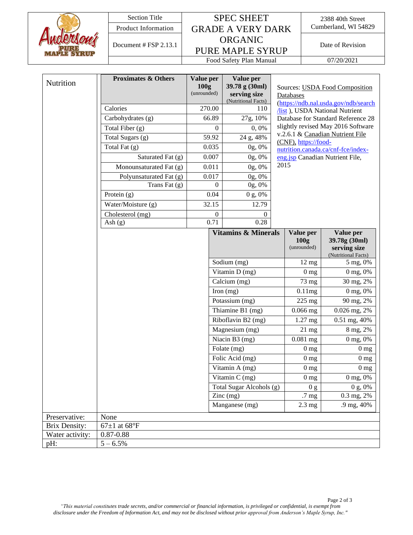

## Section Title SPEC SHEET Product Information GRADE A VERY DARK Cumberland, WI 54829 ORGANIC PURE MAPLE SYRUP Document # FSP 2.13.1

2388 40th Street

Food Safety Plan Manual 07/20/2021

| Nutrition            | <b>Proximates &amp; Others</b> | Value per<br>100g<br>(unrounded) | Value per<br>39.78 g (30ml)<br>serving size<br>(Nutritional Facts) | Sources: USDA Food Composition<br>Databases<br>(https://ndb.nal.usda.gov/ndb/search<br><b>/list</b> ), USDA National Nutrient |                                                                   |
|----------------------|--------------------------------|----------------------------------|--------------------------------------------------------------------|-------------------------------------------------------------------------------------------------------------------------------|-------------------------------------------------------------------|
|                      | Calories                       | 270.00                           | 110                                                                |                                                                                                                               |                                                                   |
|                      | Carbohydrates (g)              | 66.89                            | 27g, 10%                                                           |                                                                                                                               | Database for Standard Reference 28                                |
|                      | Total Fiber (g)                | $\mathbf{0}$                     | 0,0%                                                               |                                                                                                                               | slightly revised May 2016 Software                                |
|                      | Total Sugars (g)               | 59.92                            | 24 g, 48%                                                          |                                                                                                                               | v.2.6.1 & Canadian Nutrient File                                  |
|                      | Total Fat $(g)$                | 0.035                            | 0g, 0%                                                             | (CNF), https://food-<br>nutrition.canada.ca/cnf-fce/index-<br>eng.jsp Canadian Nutrient File,                                 |                                                                   |
|                      | Saturated Fat (g)              | 0.007                            | 0g, 0%                                                             |                                                                                                                               |                                                                   |
|                      | Monounsaturated Fat (g)        | 0.011                            | 0g, 0%                                                             | 2015                                                                                                                          |                                                                   |
|                      | Polyunsaturated Fat (g)        | 0.017                            | 0g, 0%                                                             |                                                                                                                               |                                                                   |
|                      | Trans Fat $(g)$                | $\mathbf{0}$                     | 0g, 0%                                                             |                                                                                                                               |                                                                   |
|                      | Protein $(g)$                  | 0.04                             | 0 g, 0%                                                            |                                                                                                                               |                                                                   |
|                      | Water/Moisture (g)             | 32.15                            | 12.79                                                              |                                                                                                                               |                                                                   |
|                      | Cholesterol (mg)               | $\mathbf{0}$                     | $\theta$                                                           |                                                                                                                               |                                                                   |
|                      | Ash $(g)$                      | 0.71                             | 0.28                                                               |                                                                                                                               |                                                                   |
|                      |                                |                                  | <b>Vitamins &amp; Minerals</b>                                     | Value per<br>100g<br>(unrounded)                                                                                              | Value per<br>39.78g (30ml)<br>serving size<br>(Nutritional Facts) |
|                      |                                |                                  | Sodium (mg)                                                        | $12 \text{ mg}$                                                                                                               | 5 mg, 0%                                                          |
|                      |                                |                                  | Vitamin $D(mg)$                                                    | 0 <sub>mg</sub>                                                                                                               | 0 mg, 0%                                                          |
|                      |                                |                                  | Calcium (mg)                                                       | 73 mg                                                                                                                         | 30 mg, 2%                                                         |
|                      |                                |                                  | Iron $(mg)$                                                        | 0.11mg                                                                                                                        | 0 mg, 0%                                                          |
|                      |                                |                                  | Potassium (mg)                                                     | 225 mg                                                                                                                        | 90 mg, 2%                                                         |
|                      |                                |                                  | Thiamine B1 (mg)                                                   | $0.066$ mg                                                                                                                    | 0.026 mg, 2%                                                      |
|                      |                                |                                  | Riboflavin B2 (mg)                                                 | 1.27 mg                                                                                                                       | 0.51 mg, 40%                                                      |
|                      |                                |                                  | Magnesium (mg)                                                     | $21$ mg                                                                                                                       | 8 mg, 2%                                                          |
|                      |                                |                                  | Niacin B3 (mg)                                                     | $0.081$ mg                                                                                                                    | 0 mg, 0%                                                          |
|                      |                                |                                  | Folate $(mg)$                                                      | 0 <sub>mg</sub>                                                                                                               | 0 <sub>mg</sub>                                                   |
|                      |                                |                                  | Folic Acid (mg)                                                    | 0 <sub>mg</sub>                                                                                                               | 0 <sub>mg</sub>                                                   |
|                      |                                |                                  | Vitamin A (mg)                                                     | 0 <sub>mg</sub>                                                                                                               | 0 <sub>mg</sub>                                                   |
|                      |                                |                                  | Vitamin $C$ (mg)                                                   | 0 <sub>mg</sub>                                                                                                               | 0 mg, 0%                                                          |
|                      |                                |                                  | Total Sugar Alcohols (g)                                           | 0 <sub>g</sub>                                                                                                                | 0 g, 0%                                                           |
|                      |                                |                                  | $\text{Zinc}$ (mg)                                                 | .7 mg                                                                                                                         | 0.3 mg, 2%                                                        |
|                      |                                |                                  | Manganese (mg)                                                     | $2.3 \text{ mg}$                                                                                                              | .9 mg, 40%                                                        |
| Preservative:        | None                           |                                  |                                                                    |                                                                                                                               |                                                                   |
| <b>Brix Density:</b> | $67\pm1$ at $68^{\circ}F$      |                                  |                                                                    |                                                                                                                               |                                                                   |
| Water activity:      | $0.87 - 0.88$                  |                                  |                                                                    |                                                                                                                               |                                                                   |
| pH:                  | $5 - 6.5\%$                    |                                  |                                                                    |                                                                                                                               |                                                                   |